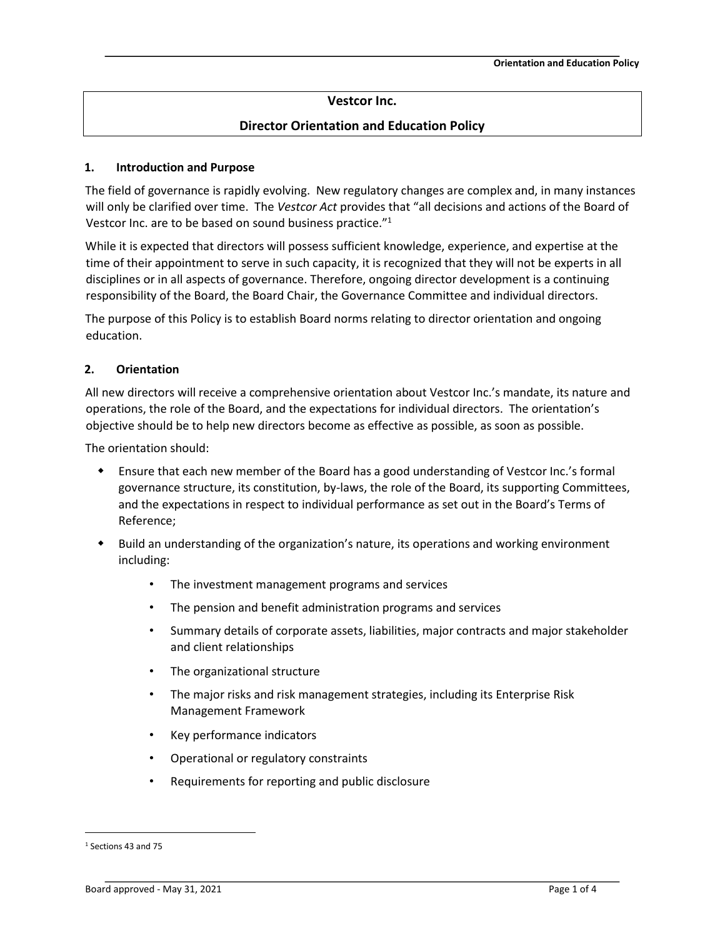# **Vestcor Inc.**

# **Director Orientation and Education Policy**

#### **1. Introduction and Purpose**

The field of governance is rapidly evolving. New regulatory changes are complex and, in many instances will only be clarified over time. The *Vestcor Act* provides that "all decisions and actions of the Board of Vestcor Inc. are to be based on sound business practice."<sup>1</sup>

While it is expected that directors will possess sufficient knowledge, experience, and expertise at the time of their appointment to serve in such capacity, it is recognized that they will not be experts in all disciplines or in all aspects of governance. Therefore, ongoing director development is a continuing responsibility of the Board, the Board Chair, the Governance Committee and individual directors.

The purpose of this Policy is to establish Board norms relating to director orientation and ongoing education.

#### **2. Orientation**

All new directors will receive a comprehensive orientation about Vestcor Inc.'s mandate, its nature and operations, the role of the Board, and the expectations for individual directors. The orientation's objective should be to help new directors become as effective as possible, as soon as possible.

The orientation should:

- Ensure that each new member of the Board has a good understanding of Vestcor Inc.'s formal governance structure, its constitution, by-laws, the role of the Board, its supporting Committees, and the expectations in respect to individual performance as set out in the Board's Terms of Reference;
- Build an understanding of the organization's nature, its operations and working environment including:
	- The investment management programs and services
	- The pension and benefit administration programs and services
	- Summary details of corporate assets, liabilities, major contracts and major stakeholder and client relationships
	- The organizational structure
	- The major risks and risk management strategies, including its Enterprise Risk Management Framework
	- Key performance indicators
	- Operational or regulatory constraints
	- Requirements for reporting and public disclosure

<sup>1</sup> Sections 43 and 75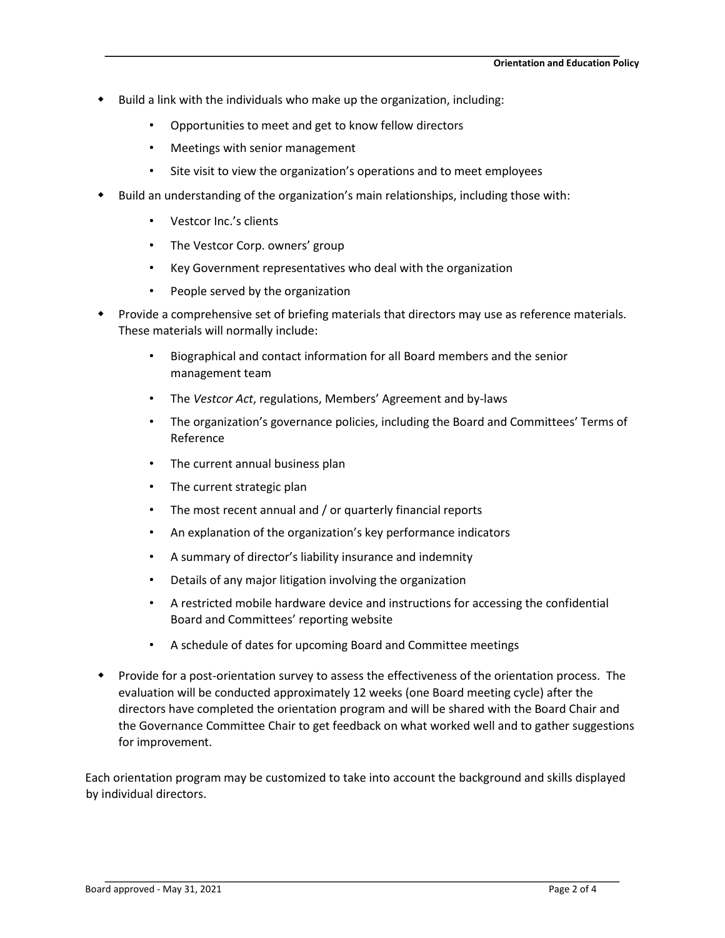- Build a link with the individuals who make up the organization, including:
	- Opportunities to meet and get to know fellow directors
	- Meetings with senior management
	- Site visit to view the organization's operations and to meet employees
- Build an understanding of the organization's main relationships, including those with:
	- Vestcor Inc.'s clients
	- The Vestcor Corp. owners' group
	- Key Government representatives who deal with the organization
	- People served by the organization
- Provide a comprehensive set of briefing materials that directors may use as reference materials. These materials will normally include:
	- Biographical and contact information for all Board members and the senior management team
	- The *Vestcor Act*, regulations, Members' Agreement and by-laws
	- The organization's governance policies, including the Board and Committees' Terms of Reference
	- The current annual business plan
	- The current strategic plan
	- The most recent annual and / or quarterly financial reports
	- An explanation of the organization's key performance indicators
	- A summary of director's liability insurance and indemnity
	- Details of any major litigation involving the organization
	- A restricted mobile hardware device and instructions for accessing the confidential Board and Committees' reporting website
	- A schedule of dates for upcoming Board and Committee meetings
- Provide for a post-orientation survey to assess the effectiveness of the orientation process. The evaluation will be conducted approximately 12 weeks (one Board meeting cycle) after the directors have completed the orientation program and will be shared with the Board Chair and the Governance Committee Chair to get feedback on what worked well and to gather suggestions for improvement.

Each orientation program may be customized to take into account the background and skills displayed by individual directors.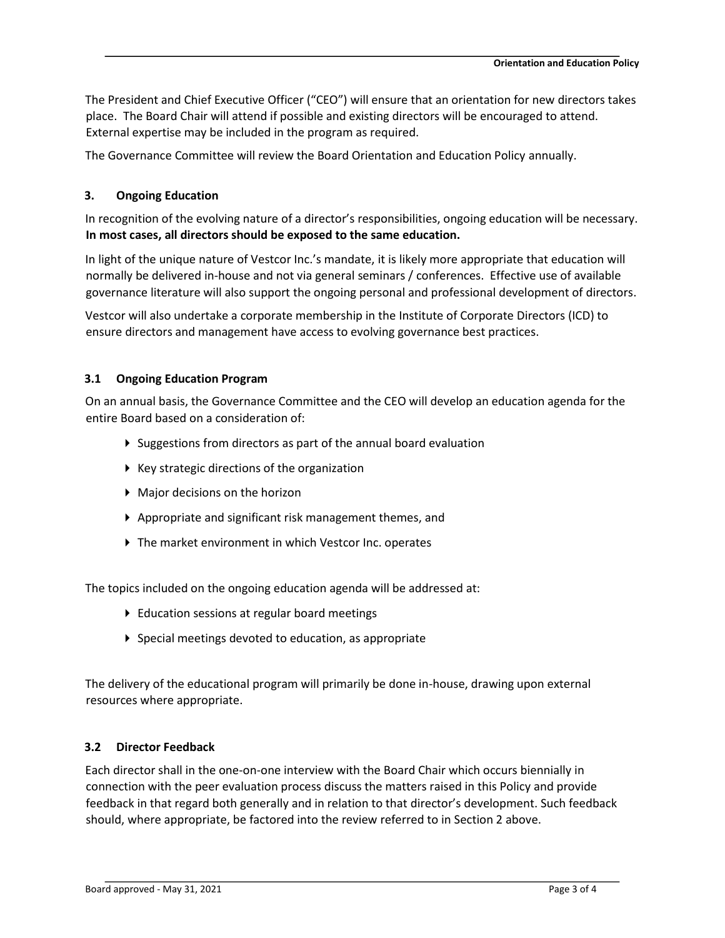The President and Chief Executive Officer ("CEO") will ensure that an orientation for new directors takes place. The Board Chair will attend if possible and existing directors will be encouraged to attend. External expertise may be included in the program as required.

The Governance Committee will review the Board Orientation and Education Policy annually.

## **3. Ongoing Education**

In recognition of the evolving nature of a director's responsibilities, ongoing education will be necessary. **In most cases, all directors should be exposed to the same education.** 

In light of the unique nature of Vestcor Inc.'s mandate, it is likely more appropriate that education will normally be delivered in-house and not via general seminars / conferences. Effective use of available governance literature will also support the ongoing personal and professional development of directors.

Vestcor will also undertake a corporate membership in the Institute of Corporate Directors (ICD) to ensure directors and management have access to evolving governance best practices.

### **3.1 Ongoing Education Program**

On an annual basis, the Governance Committee and the CEO will develop an education agenda for the entire Board based on a consideration of:

- Suggestions from directors as part of the annual board evaluation
- $\blacktriangleright$  Key strategic directions of the organization
- Major decisions on the horizon
- Appropriate and significant risk management themes, and
- The market environment in which Vestcor Inc. operates

The topics included on the ongoing education agenda will be addressed at:

- ▶ Education sessions at regular board meetings
- Special meetings devoted to education, as appropriate

The delivery of the educational program will primarily be done in-house, drawing upon external resources where appropriate.

#### **3.2 Director Feedback**

Each director shall in the one-on-one interview with the Board Chair which occurs biennially in connection with the peer evaluation process discuss the matters raised in this Policy and provide feedback in that regard both generally and in relation to that director's development. Such feedback should, where appropriate, be factored into the review referred to in Section 2 above.